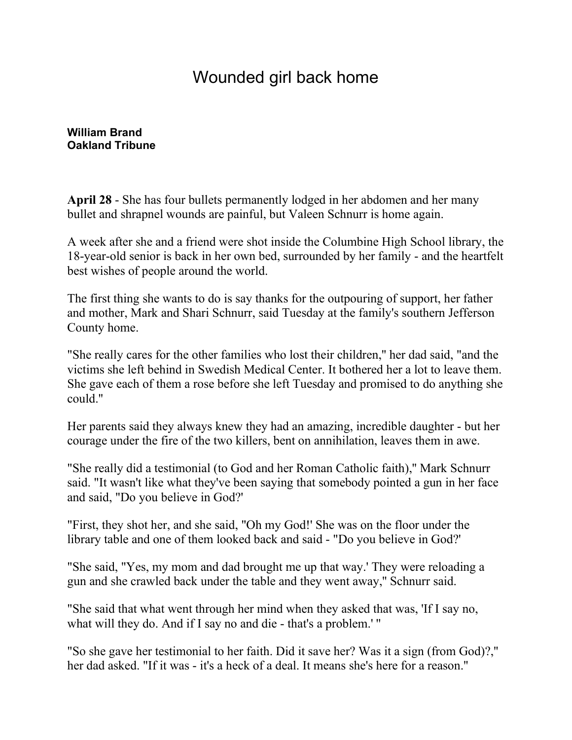## Wounded girl back home

**[William Brand](mailto:newsroom@denverpost.com) Oakland Tribune**

**April 28** - She has four bullets permanently lodged in her abdomen and her many bullet and shrapnel wounds are painful, but Valeen Schnurr is home again.

A week after she and a friend were shot inside the Columbine High School library, the 18-year-old senior is back in her own bed, surrounded by her family - and the heartfelt best wishes of people around the world.

The first thing she wants to do is say thanks for the outpouring of support, her father and mother, Mark and Shari Schnurr, said Tuesday at the family's southern Jefferson County home.

"She really cares for the other families who lost their children,'' her dad said, "and the victims she left behind in Swedish Medical Center. It bothered her a lot to leave them. She gave each of them a rose before she left Tuesday and promised to do anything she could.''

Her parents said they always knew they had an amazing, incredible daughter - but her courage under the fire of the two killers, bent on annihilation, leaves them in awe.

"She really did a testimonial (to God and her Roman Catholic faith),'' Mark Schnurr said. "It wasn't like what they've been saying that somebody pointed a gun in her face and said, "Do you believe in God?'

"First, they shot her, and she said, "Oh my God!' She was on the floor under the library table and one of them looked back and said - "Do you believe in God?'

"She said, "Yes, my mom and dad brought me up that way.' They were reloading a gun and she crawled back under the table and they went away,'' Schnurr said.

"She said that what went through her mind when they asked that was, 'If I say no, what will they do. And if I say no and die - that's a problem.' ''

"So she gave her testimonial to her faith. Did it save her? Was it a sign (from God)?,'' her dad asked. "If it was - it's a heck of a deal. It means she's here for a reason.''